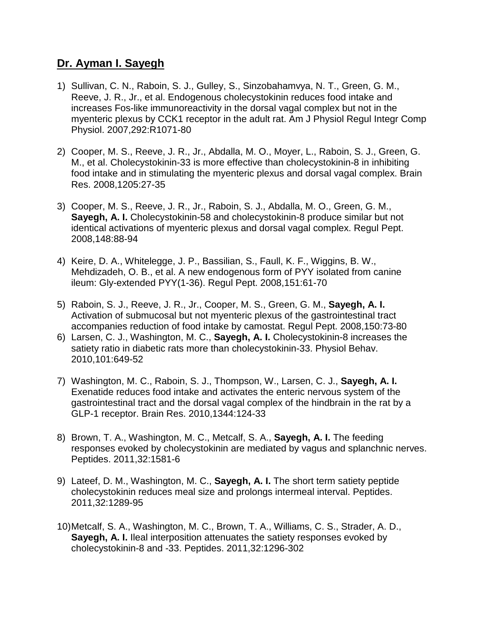# **Dr. Ayman I. Sayegh**

- 1) Sullivan, C. N., Raboin, S. J., Gulley, S., Sinzobahamvya, N. T., Green, G. M., Reeve, J. R., Jr., et al. Endogenous cholecystokinin reduces food intake and increases Fos-like immunoreactivity in the dorsal vagal complex but not in the myenteric plexus by CCK1 receptor in the adult rat. Am J Physiol Regul Integr Comp Physiol. 2007,292:R1071-80
- 2) Cooper, M. S., Reeve, J. R., Jr., Abdalla, M. O., Moyer, L., Raboin, S. J., Green, G. M., et al. Cholecystokinin-33 is more effective than cholecystokinin-8 in inhibiting food intake and in stimulating the myenteric plexus and dorsal vagal complex. Brain Res. 2008,1205:27-35
- 3) Cooper, M. S., Reeve, J. R., Jr., Raboin, S. J., Abdalla, M. O., Green, G. M., **Sayegh, A. I.** Cholecystokinin-58 and cholecystokinin-8 produce similar but not identical activations of myenteric plexus and dorsal vagal complex. Regul Pept. 2008,148:88-94
- 4) Keire, D. A., Whitelegge, J. P., Bassilian, S., Faull, K. F., Wiggins, B. W., Mehdizadeh, O. B., et al. A new endogenous form of PYY isolated from canine ileum: Gly-extended PYY(1-36). Regul Pept. 2008,151:61-70
- 5) Raboin, S. J., Reeve, J. R., Jr., Cooper, M. S., Green, G. M., **Sayegh, A. I.** Activation of submucosal but not myenteric plexus of the gastrointestinal tract accompanies reduction of food intake by camostat. Regul Pept. 2008,150:73-80
- 6) Larsen, C. J., Washington, M. C., **Sayegh, A. I.** Cholecystokinin-8 increases the satiety ratio in diabetic rats more than cholecystokinin-33. Physiol Behav. 2010,101:649-52
- 7) Washington, M. C., Raboin, S. J., Thompson, W., Larsen, C. J., **Sayegh, A. I.**  Exenatide reduces food intake and activates the enteric nervous system of the gastrointestinal tract and the dorsal vagal complex of the hindbrain in the rat by a GLP-1 receptor. Brain Res. 2010,1344:124-33
- 8) Brown, T. A., Washington, M. C., Metcalf, S. A., **Sayegh, A. I.** The feeding responses evoked by cholecystokinin are mediated by vagus and splanchnic nerves. Peptides. 2011,32:1581-6
- 9) Lateef, D. M., Washington, M. C., **Sayegh, A. I.** The short term satiety peptide cholecystokinin reduces meal size and prolongs intermeal interval. Peptides. 2011,32:1289-95
- 10)Metcalf, S. A., Washington, M. C., Brown, T. A., Williams, C. S., Strader, A. D., **Sayegh, A. I.** Ileal interposition attenuates the satiety responses evoked by cholecystokinin-8 and -33. Peptides. 2011,32:1296-302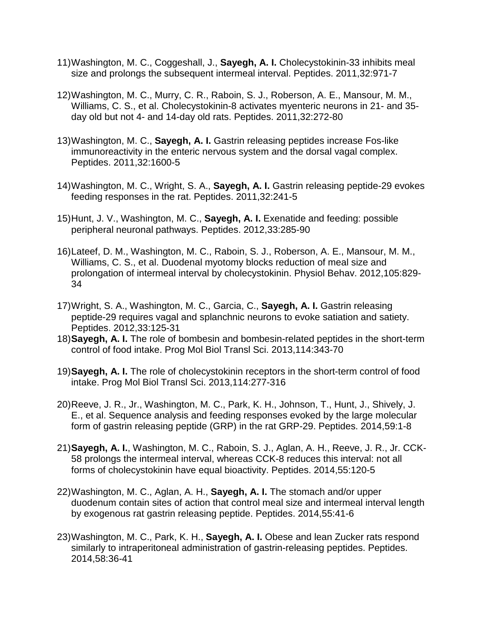- 11)Washington, M. C., Coggeshall, J., **Sayegh, A. I.** Cholecystokinin-33 inhibits meal size and prolongs the subsequent intermeal interval. Peptides. 2011,32:971-7
- 12)Washington, M. C., Murry, C. R., Raboin, S. J., Roberson, A. E., Mansour, M. M., Williams, C. S., et al. Cholecystokinin-8 activates myenteric neurons in 21- and 35 day old but not 4- and 14-day old rats. Peptides. 2011,32:272-80
- 13)Washington, M. C., **Sayegh, A. I.** Gastrin releasing peptides increase Fos-like immunoreactivity in the enteric nervous system and the dorsal vagal complex. Peptides. 2011,32:1600-5
- 14)Washington, M. C., Wright, S. A., **Sayegh, A. I.** Gastrin releasing peptide-29 evokes feeding responses in the rat. Peptides. 2011,32:241-5
- 15)Hunt, J. V., Washington, M. C., **Sayegh, A. I.** Exenatide and feeding: possible peripheral neuronal pathways. Peptides. 2012,33:285-90
- 16)Lateef, D. M., Washington, M. C., Raboin, S. J., Roberson, A. E., Mansour, M. M., Williams, C. S., et al. Duodenal myotomy blocks reduction of meal size and prolongation of intermeal interval by cholecystokinin. Physiol Behav. 2012,105:829- 34
- 17)Wright, S. A., Washington, M. C., Garcia, C., **Sayegh, A. I.** Gastrin releasing peptide-29 requires vagal and splanchnic neurons to evoke satiation and satiety. Peptides. 2012,33:125-31
- 18)**Sayegh, A. I.** The role of bombesin and bombesin-related peptides in the short-term control of food intake. Prog Mol Biol Transl Sci. 2013,114:343-70
- 19)**Sayegh, A. I.** The role of cholecystokinin receptors in the short-term control of food intake. Prog Mol Biol Transl Sci. 2013,114:277-316
- 20)Reeve, J. R., Jr., Washington, M. C., Park, K. H., Johnson, T., Hunt, J., Shively, J. E., et al. Sequence analysis and feeding responses evoked by the large molecular form of gastrin releasing peptide (GRP) in the rat GRP-29. Peptides. 2014,59:1-8
- 21)**Sayegh, A. I.**, Washington, M. C., Raboin, S. J., Aglan, A. H., Reeve, J. R., Jr. CCK-58 prolongs the intermeal interval, whereas CCK-8 reduces this interval: not all forms of cholecystokinin have equal bioactivity. Peptides. 2014,55:120-5
- 22)Washington, M. C., Aglan, A. H., **Sayegh, A. I.** The stomach and/or upper duodenum contain sites of action that control meal size and intermeal interval length by exogenous rat gastrin releasing peptide. Peptides. 2014,55:41-6
- 23)Washington, M. C., Park, K. H., **Sayegh, A. I.** Obese and lean Zucker rats respond similarly to intraperitoneal administration of gastrin-releasing peptides. Peptides. 2014,58:36-41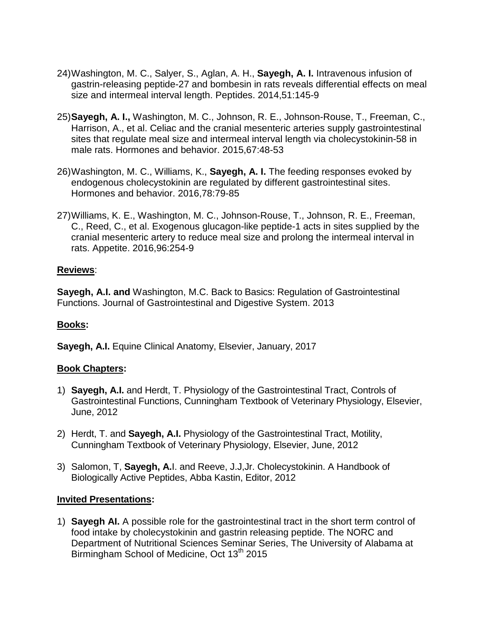- 24)Washington, M. C., Salyer, S., Aglan, A. H., **Sayegh, A. I.** Intravenous infusion of gastrin-releasing peptide-27 and bombesin in rats reveals differential effects on meal size and intermeal interval length. Peptides. 2014,51:145-9
- 25)**Sayegh, A. I.,** Washington, M. C., Johnson, R. E., Johnson-Rouse, T., Freeman, C., Harrison, A., et al. Celiac and the cranial mesenteric arteries supply gastrointestinal sites that regulate meal size and intermeal interval length via cholecystokinin-58 in male rats. Hormones and behavior. 2015,67:48-53
- 26)Washington, M. C., Williams, K., **Sayegh, A. I.** The feeding responses evoked by endogenous cholecystokinin are regulated by different gastrointestinal sites. Hormones and behavior. 2016,78:79-85
- 27)Williams, K. E., Washington, M. C., Johnson-Rouse, T., Johnson, R. E., Freeman, C., Reed, C., et al. Exogenous glucagon-like peptide-1 acts in sites supplied by the cranial mesenteric artery to reduce meal size and prolong the intermeal interval in rats. Appetite. 2016,96:254-9

## **Reviews**:

**Sayegh, A.I. and** Washington, M.C. Back to Basics: Regulation of Gastrointestinal Functions. Journal of Gastrointestinal and Digestive System. 2013

## **Books:**

**Sayegh, A.I.** Equine Clinical Anatomy, Elsevier, January, 2017

## **Book Chapters:**

- 1) **Sayegh, A.I.** and Herdt, T. Physiology of the Gastrointestinal Tract, Controls of Gastrointestinal Functions, Cunningham Textbook of Veterinary Physiology, Elsevier, June, 2012
- 2) Herdt, T. and **Sayegh, A.I.** Physiology of the Gastrointestinal Tract, Motility, Cunningham Textbook of Veterinary Physiology, Elsevier, June, 2012
- 3) Salomon, T, **Sayegh, A.**I. and Reeve, J.J,Jr. Cholecystokinin. A Handbook of Biologically Active Peptides, Abba Kastin, Editor, 2012

### **Invited Presentations:**

1) **Sayegh AI.** A possible role for the gastrointestinal tract in the short term control of food intake by cholecystokinin and gastrin releasing peptide. The NORC and Department of Nutritional Sciences Seminar Series, The University of Alabama at Birmingham School of Medicine, Oct 13<sup>th</sup> 2015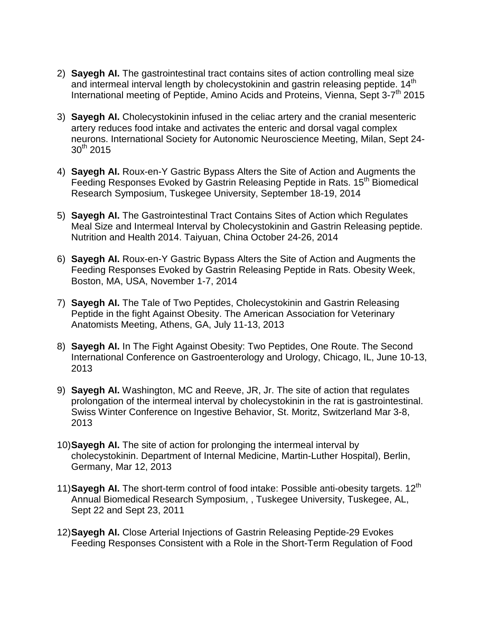- 2) **Sayegh AI.** The gastrointestinal tract contains sites of action controlling meal size and intermeal interval length by cholecystokinin and gastrin releasing peptide. 14<sup>th</sup> International meeting of Peptide, Amino Acids and Proteins, Vienna, Sept 3-7<sup>th</sup> 2015
- 3) **Sayegh AI.** Cholecystokinin infused in the celiac artery and the cranial mesenteric artery reduces food intake and activates the enteric and dorsal vagal complex neurons. International Society for Autonomic Neuroscience Meeting, Milan, Sept 24-  $30^{th}$  2015
- 4) **Sayegh AI.** Roux-en-Y Gastric Bypass Alters the Site of Action and Augments the Feeding Responses Evoked by Gastrin Releasing Peptide in Rats. 15<sup>th</sup> Biomedical Research Symposium, Tuskegee University, September 18-19, 2014
- 5) **Sayegh AI.** The Gastrointestinal Tract Contains Sites of Action which Regulates Meal Size and Intermeal Interval by Cholecystokinin and Gastrin Releasing peptide. Nutrition and Health 2014. Taiyuan, China October 24-26, 2014
- 6) **Sayegh AI.** Roux-en-Y Gastric Bypass Alters the Site of Action and Augments the Feeding Responses Evoked by Gastrin Releasing Peptide in Rats. Obesity Week, Boston, MA, USA, November 1-7, 2014
- 7) **Sayegh AI.** The Tale of Two Peptides, Cholecystokinin and Gastrin Releasing Peptide in the fight Against Obesity. The American Association for Veterinary Anatomists Meeting, Athens, GA, July 11-13, 2013
- 8) **Sayegh AI.** In The Fight Against Obesity: Two Peptides, One Route. The Second International Conference on Gastroenterology and Urology, Chicago, IL, June 10-13, 2013
- 9) **Sayegh AI.** Washington, MC and Reeve, JR, Jr. The site of action that regulates prolongation of the intermeal interval by cholecystokinin in the rat is gastrointestinal. Swiss Winter Conference on Ingestive Behavior, St. Moritz, Switzerland Mar 3-8, 2013
- 10)**Sayegh AI.** The site of action for prolonging the intermeal interval by cholecystokinin. Department of Internal Medicine, Martin-Luther Hospital), Berlin, Germany, Mar 12, 2013
- 11)**Sayegh AI.** The short-term control of food intake: Possible anti-obesity targets. 12th Annual Biomedical Research Symposium, , Tuskegee University, Tuskegee, AL, Sept 22 and Sept 23, 2011
- 12)**Sayegh AI.** Close Arterial Injections of Gastrin Releasing Peptide-29 Evokes Feeding Responses Consistent with a Role in the Short-Term Regulation of Food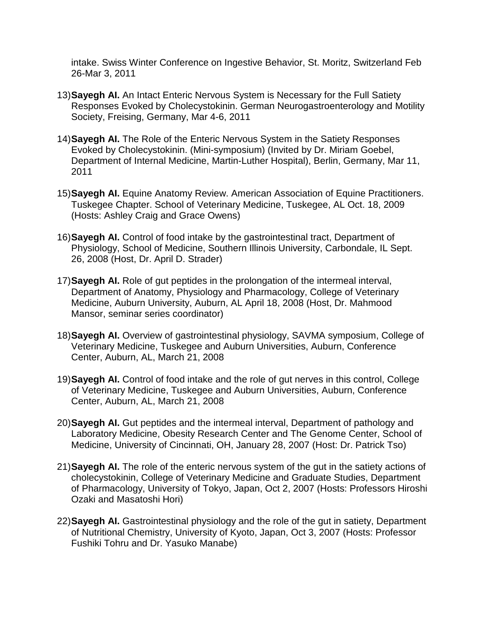intake. Swiss Winter Conference on Ingestive Behavior, St. Moritz, Switzerland Feb 26-Mar 3, 2011

- 13)**Sayegh AI.** An Intact Enteric Nervous System is Necessary for the Full Satiety Responses Evoked by Cholecystokinin. German Neurogastroenterology and Motility Society, Freising, Germany, Mar 4-6, 2011
- 14)**Sayegh AI.** The Role of the Enteric Nervous System in the Satiety Responses Evoked by Cholecystokinin. (Mini-symposium) (Invited by Dr. Miriam Goebel, Department of Internal Medicine, Martin-Luther Hospital), Berlin, Germany, Mar 11, 2011
- 15)**Sayegh AI.** Equine Anatomy Review. American Association of Equine Practitioners. Tuskegee Chapter. School of Veterinary Medicine, Tuskegee, AL Oct. 18, 2009 (Hosts: Ashley Craig and Grace Owens)
- 16)**Sayegh AI.** Control of food intake by the gastrointestinal tract, Department of Physiology, School of Medicine, Southern Illinois University, Carbondale, IL Sept. 26, 2008 (Host, Dr. April D. Strader)
- 17)**Sayegh AI.** Role of gut peptides in the prolongation of the intermeal interval, Department of Anatomy, Physiology and Pharmacology, College of Veterinary Medicine, Auburn University, Auburn, AL April 18, 2008 (Host, Dr. Mahmood Mansor, seminar series coordinator)
- 18)**Sayegh AI.** Overview of gastrointestinal physiology, SAVMA symposium, College of Veterinary Medicine, Tuskegee and Auburn Universities, Auburn, Conference Center, Auburn, AL, March 21, 2008
- 19)**Sayegh AI.** Control of food intake and the role of gut nerves in this control, College of Veterinary Medicine, Tuskegee and Auburn Universities, Auburn, Conference Center, Auburn, AL, March 21, 2008
- 20)**Sayegh AI.** Gut peptides and the intermeal interval, Department of pathology and Laboratory Medicine, Obesity Research Center and The Genome Center, School of Medicine, University of Cincinnati, OH, January 28, 2007 (Host: Dr. Patrick Tso)
- 21)**Sayegh AI.** The role of the enteric nervous system of the gut in the satiety actions of cholecystokinin, College of Veterinary Medicine and Graduate Studies, Department of Pharmacology, University of Tokyo, Japan, Oct 2, 2007 (Hosts: Professors Hiroshi Ozaki and Masatoshi Hori)
- 22)**Sayegh AI.** Gastrointestinal physiology and the role of the gut in satiety, Department of Nutritional Chemistry, University of Kyoto, Japan, Oct 3, 2007 (Hosts: Professor Fushiki Tohru and Dr. Yasuko Manabe)